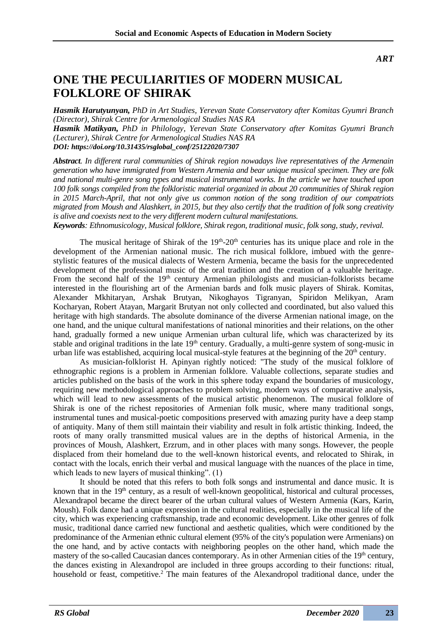*ART*

## **ONE THE PECULIARITIES OF MODERN MUSICAL FOLKLORE OF SHIRAK**

*Hasmik Harutyunyan, PhD in Art Studies, Yerevan State Conservatory after Komitas Gyumri Branch (Director), Shirak Centre for Armenological Studies NAS RA Hasmik Matikyan, PhD in Philology, Yerevan State Conservatory after Komitas Gyumri Branch (Lecturer), Shirak Centre for Armenological Studies NAS RA DOI: https://doi.org/10.31435/rsglobal\_conf/25122020/7307*

*Abstract. In different rural communities of Shirak region nowadays live representatives of the Armenain generation who have immigrated from Western Armenia and bear unique musical specimen. They are folk and national multi-genre song types and musical instrumental works. In the article we have touched upon 100 folk songs compiled from the folkloristic material organized in about 20 communities of Shirak region in 2015 March-April, that not only give us common notion of the song tradition of our compatriots migrated from Moush and Alashkert, in 2015, but they also certify that the tradition of folk song creativity is alive and coexists next to the very different modern cultural manifestations.*

*Keywords: Ethnomusicology, Musical folklore, Shirak regon, traditional music, folk song, study, revival.*

The musical heritage of Shirak of the  $19<sup>th</sup>$ -20<sup>th</sup> centuries has its unique place and role in the development of the Armenian national music. The rich musical folklore, imbued with the genrestylistic features of the musical dialects of Western Armenia, became the basis for the unprecedented development of the professional music of the oral tradition and the creation of a valuable heritage. From the second half of the 19<sup>th</sup> century Armenian philologists and musician-folklorists became interested in the flourishing art of the Armenian bards and folk music players of Shirak. Komitas, Alexander Mkhitaryan, Arshak Brutyan, Nikoghayos Tigranyan, Spiridon Melikyan, Aram Kocharyan, Robert Atayan, Margarit Brutyan not only collected and coordinated, but also valued this heritage with high standards. The absolute dominance of the diverse Armenian national image, on the one hand, and the unique cultural manifestations of national minorities and their relations, on the other hand, gradually formed a new unique Armenian urban cultural life, which was characterized by its stable and original traditions in the late 19<sup>th</sup> century. Gradually, a multi-genre system of song-music in urban life was established, acquiring local musical-style features at the beginning of the 20<sup>th</sup> century.

As musician-folklorist H. Apinyan rightly noticed: "The study of the musical folklore of ethnographic regions is a problem in Armenian folklore. Valuable collections, separate studies and articles published on the basis of the work in this sphere today expand the boundaries of musicology, requiring new methodological approaches to problem solving, modern ways of comparative analysis, which will lead to new assessments of the musical artistic phenomenon. The musical folklore of Shirak is one of the richest repositories of Armenian folk music, where many traditional songs, instrumental tunes and musical-poetic compositions preserved with amazing purity have a deep stamp of antiquity. Many of them still maintain their viability and result in folk artistic thinking. Indeed, the roots of many orally transmitted musical values are in the depths of historical Armenia, in the provinces of Moush, Alashkert, Erzrum, and in other places with many songs. However, the people displaced from their homeland due to the well-known historical events, and relocated to Shirak, in contact with the locals, enrich their verbal and musical language with the nuances of the place in time, which leads to new layers of musical thinking". (1)

It should be noted that this refers to both folk songs and instrumental and dance music. It is known that in the 19<sup>th</sup> century, as a result of well-known geopolitical, historical and cultural processes, Alexandrapol became the direct bearer of the urban cultural values of Western Armenia (Kars, Karin, Moush). Folk dance had a unique expression in the cultural realities, especially in the musical life of the city, which was experiencing craftsmanship, trade and economic development. Like other genres of folk music, traditional dance carried new functional and aesthetic qualities, which were conditioned by the predominance of the Armenian ethnic cultural element (95% of the city's population were Armenians) on the one hand, and by active contacts with neighboring peoples on the other hand, which made the mastery of the so-called Caucasian dances contemporary. As in other Armenian cities of the  $19<sup>th</sup>$  century, the dances existing in Alexandropol are included in three groups according to their functions: ritual, household or feast, competitive.<sup>2</sup> The main features of the Alexandropol traditional dance, under the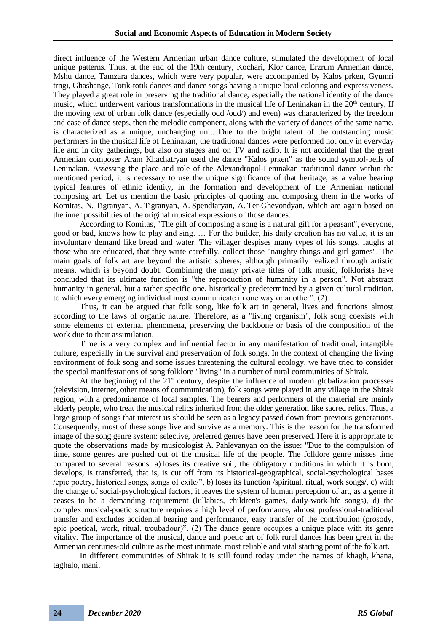direct influence of the Western Armenian urban dance culture, stimulated the development of local unique patterns. Thus, at the end of the 19th century, Kochari, Klor dance, Erzrum Armenian dance, Mshu dance, Tamzara dances, which were very popular, were accompanied by Kalos prken, Gyumri trngi, Ghashange, Totik-totik dances and dance songs having a unique local coloring and expressiveness. They played a great role in preserving the traditional dance, especially the national identity of the dance music, which underwent various transformations in the musical life of Leninakan in the 20<sup>th</sup> century. If the moving text of urban folk dance (especially odd /odd/) and even) was characterized by the freedom and ease of dance steps, then the melodic component, along with the variety of dances of the same name, is characterized as a unique, unchanging unit. Due to the bright talent of the outstanding music performers in the musical life of Leninakan, the traditional dances were performed not only in everyday life and in city gatherings, but also on stages and on TV and radio. It is not accidental that the great Armenian composer Aram Khachatryan used the dance "Kalos prken" as the sound symbol-bells of Leninakan. Assessing the place and role of the Alexandropol-Leninakan traditional dance within the mentioned period, it is necessary to use the unique significance of that heritage, as a value bearing typical features of ethnic identity, in the formation and development of the Armenian national composing art. Let us mention the basic principles of quoting and composing them in the works of Komitas, N. Tigranyan, A. Tigranyan, A. Spendiaryan, A. Ter-Ghevondyan, which are again based on the inner possibilities of the original musical expressions of those dances.

According to Komitas, "The gift of composing a song is a natural gift for a peasant", everyone, good or bad, knows how to play and sing. … For the builder, his daily creation has no value, it is an involuntary demand like bread and water. The villager despises many types of his songs, laughs at those who are educated, that they write carefully, collect those "naughty things and girl games". The main goals of folk art are beyond the artistic spheres, although primarily realized through artistic means, which is beyond doubt. Combining the many private titles of folk music, folklorists have concluded that its ultimate function is "the reproduction of humanity in a person". Not abstract humanity in general, but a rather specific one, historically predetermined by a given cultural tradition, to which every emerging individual must communicate in one way or another". (2)

Thus, it can be argued that folk song, like folk art in general, lives and functions almost according to the laws of organic nature. Therefore, as a "living organism", folk song coexists with some elements of external phenomena, preserving the backbone or basis of the composition of the work due to their assimilation.

Time is a very complex and influential factor in any manifestation of traditional, intangible culture, especially in the survival and preservation of folk songs. In the context of changing the living environment of folk song and some issues threatening the cultural ecology, we have tried to consider the special manifestations of song folklore "living" in a number of rural communities of Shirak.

At the beginning of the  $21<sup>st</sup>$  century, despite the influence of modern globalization processes (television, internet, other means of communication), folk songs were played in any village in the Shirak region, with a predominance of local samples. The bearers and performers of the material are mainly elderly people, who treat the musical relics inherited from the older generation like sacred relics. Thus, a large group of songs that interest us should be seen as a legacy passed down from previous generations. Consequently, most of these songs live and survive as a memory. This is the reason for the transformed image of the song genre system: selective, preferred genres have been preserved. Here it is appropriate to quote the observations made by musicologist A. Pahlevanyan on the issue: "Due to the compulsion of time, some genres are pushed out of the musical life of the people. The folklore genre misses time compared to several reasons. a) loses its creative soil, the obligatory conditions in which it is born, develops, is transferred, that is, is cut off from its historical-geographical, social-psychological bases /epic poetry, historical songs, songs of exile/", b) loses its function /spiritual, ritual, work songs/, c) with the change of social-psychological factors, it leaves the system of human perception of art, as a genre it ceases to be a demanding requirement (lullabies, children's games, daily-work-life songs), d) the complex musical-poetic structure requires a high level of performance, almost professional-traditional transfer and excludes accidental bearing and performance, easy transfer of the contribution (prosody, epic poetical, work, ritual, troubadour)". (2) The dance genre occupies a unique place with its genre vitality. The importance of the musical, dance and poetic art of folk rural dances has been great in the Armenian centuries-old culture as the most intimate, most reliable and vital starting point of the folk art.

In different communities of Shirak it is still found today under the names of khagh, khana, taghalo, mani.